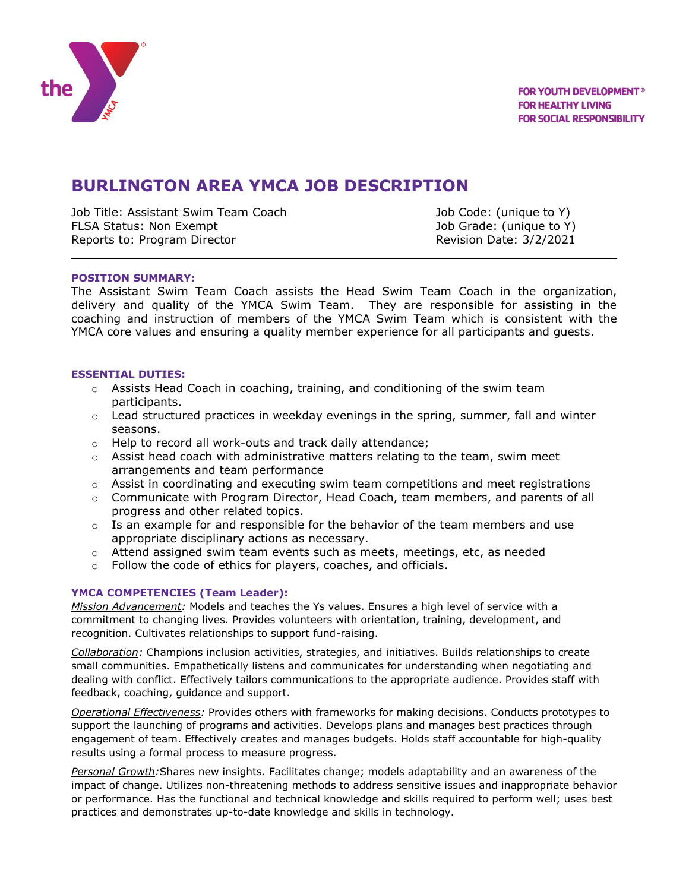

# **BURLINGTON AREA YMCA JOB DESCRIPTION**

Job Title: Assistant Swim Team Coach Job Code: (unique to Y) FLSA Status: Non Exempt Job Grade: (unique to Y) Reports to: Program Director **Reports to: Program Director** Revision Date: 3/2/2021

## **POSITION SUMMARY:**

The Assistant Swim Team Coach assists the Head Swim Team Coach in the organization, delivery and quality of the YMCA Swim Team. They are responsible for assisting in the coaching and instruction of members of the YMCA Swim Team which is consistent with the YMCA core values and ensuring a quality member experience for all participants and guests.

### **ESSENTIAL DUTIES:**

- $\circ$  Assists Head Coach in coaching, training, and conditioning of the swim team participants.
- $\circ$  Lead structured practices in weekday evenings in the spring, summer, fall and winter seasons.
- o Help to record all work-outs and track daily attendance;
- $\circ$  Assist head coach with administrative matters relating to the team, swim meet arrangements and team performance
- $\circ$  Assist in coordinating and executing swim team competitions and meet registrations
- $\circ$  Communicate with Program Director, Head Coach, team members, and parents of all progress and other related topics.
- $\circ$  Is an example for and responsible for the behavior of the team members and use appropriate disciplinary actions as necessary.
- $\circ$  Attend assigned swim team events such as meets, meetings, etc, as needed
- o Follow the code of ethics for players, coaches, and officials.

#### **YMCA COMPETENCIES (Team Leader):**

*Mission Advancement:* Models and teaches the Ys values. Ensures a high level of service with a commitment to changing lives. Provides volunteers with orientation, training, development, and recognition. Cultivates relationships to support fund-raising.

*Collaboration:* Champions inclusion activities, strategies, and initiatives. Builds relationships to create small communities. Empathetically listens and communicates for understanding when negotiating and dealing with conflict. Effectively tailors communications to the appropriate audience. Provides staff with feedback, coaching, guidance and support.

*Operational Effectiveness:* Provides others with frameworks for making decisions. Conducts prototypes to support the launching of programs and activities. Develops plans and manages best practices through engagement of team. Effectively creates and manages budgets. Holds staff accountable for high-quality results using a formal process to measure progress.

*Personal Growth:*Shares new insights. Facilitates change; models adaptability and an awareness of the impact of change. Utilizes non-threatening methods to address sensitive issues and inappropriate behavior or performance. Has the functional and technical knowledge and skills required to perform well; uses best practices and demonstrates up-to-date knowledge and skills in technology.